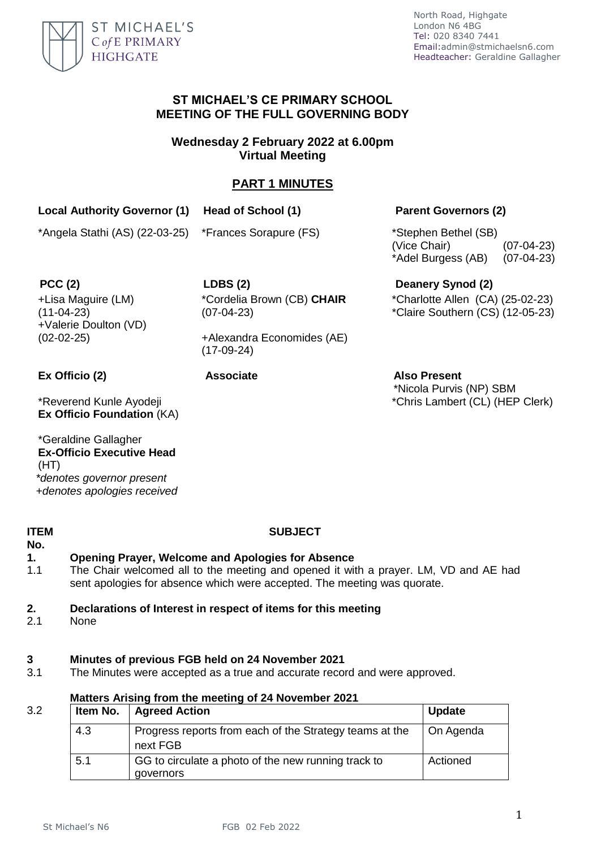

# **ST MICHAEL'S CE PRIMARY SCHOOL MEETING OF THE FULL GOVERNING BODY**

**Wednesday 2 February 2022 at 6.00pm Virtual Meeting** 

# **PART 1 MINUTES**

# **Local Authority Governor (1) Head of School (1) Parent Governors (2)**

\*Angela Stathi (AS) (22-03-25) \*Frances Sorapure (FS) \*Stephen Bethel (SB)

(Vice Chair) (07-04-23) \*Adel Burgess (AB) (07-04-23)

+Lisa Maguire (LM) (11-04-23) +Valerie Doulton (VD)

**PCC (2) LDBS (2) Deanery Synod (2)** \*Cordelia Brown (CB) **CHAIR** (07-04-23)

> +Alexandra Economides (AE) (17-09-24)

(02-02-25)

\*Reverend Kunle Ayodeji **Ex Officio Foundation** (KA)

\*Geraldine Gallagher **Ex-Officio Executive Head**  (HT) *\*denotes governor present +denotes apologies received*

### **ITEM No.**

# **SUBJECT**

# **1. Opening Prayer, Welcome and Apologies for Absence**

1.1 The Chair welcomed all to the meeting and opened it with a prayer. LM, VD and AE had sent apologies for absence which were accepted. The meeting was quorate.

# **2. Declarations of Interest in respect of items for this meeting**

2.1 None

### **3 Minutes of previous FGB held on 24 November 2021**

3.1 The Minutes were accepted as a true and accurate record and were approved.

## 3.2

### **Matters Arising from the meeting of 24 November 2021**

|     | Item No.   Agreed Action                                            | <b>Update</b> |
|-----|---------------------------------------------------------------------|---------------|
| 4.3 | Progress reports from each of the Strategy teams at the<br>next FGB | On Agenda     |
| 5.1 | GG to circulate a photo of the new running track to<br>governors    | Actioned      |

\*Charlotte Allen (CA) (25-02-23)

\*Claire Southern (CS) (12-05-23)

**Ex Officio (2) Associate Also Present** \*Nicola Purvis (NP) SBM \*Chris Lambert (CL) (HEP Clerk)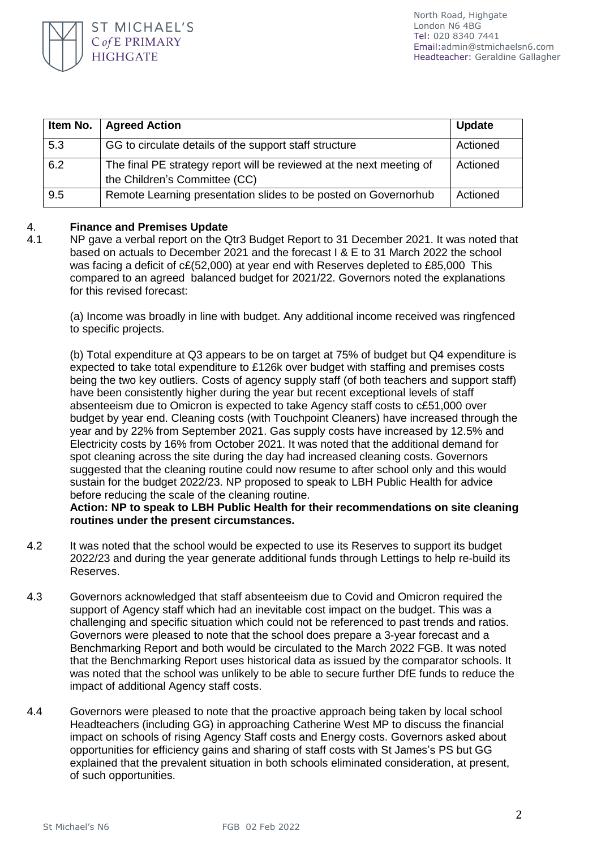

| Item No. | <b>Agreed Action</b>                                                                                  | <b>Update</b> |
|----------|-------------------------------------------------------------------------------------------------------|---------------|
| 5.3      | GG to circulate details of the support staff structure                                                | Actioned      |
| 6.2      | The final PE strategy report will be reviewed at the next meeting of<br>the Children's Committee (CC) | Actioned      |
| 9.5      | Remote Learning presentation slides to be posted on Governorhub                                       | Actioned      |

### 4. **Finance and Premises Update**

4.1 NP gave a verbal report on the Qtr3 Budget Report to 31 December 2021. It was noted that based on actuals to December 2021 and the forecast I & E to 31 March 2022 the school was facing a deficit of  $cE(52,000)$  at year end with Reserves depleted to £85,000 This compared to an agreed balanced budget for 2021/22. Governors noted the explanations for this revised forecast:

(a) Income was broadly in line with budget. Any additional income received was ringfenced to specific projects.

(b) Total expenditure at Q3 appears to be on target at 75% of budget but Q4 expenditure is expected to take total expenditure to £126k over budget with staffing and premises costs being the two key outliers. Costs of agency supply staff (of both teachers and support staff) have been consistently higher during the year but recent exceptional levels of staff absenteeism due to Omicron is expected to take Agency staff costs to c£51,000 over budget by year end. Cleaning costs (with Touchpoint Cleaners) have increased through the year and by 22% from September 2021. Gas supply costs have increased by 12.5% and Electricity costs by 16% from October 2021. It was noted that the additional demand for spot cleaning across the site during the day had increased cleaning costs. Governors suggested that the cleaning routine could now resume to after school only and this would sustain for the budget 2022/23. NP proposed to speak to LBH Public Health for advice before reducing the scale of the cleaning routine.

**Action: NP to speak to LBH Public Health for their recommendations on site cleaning routines under the present circumstances.** 

- 4.2 It was noted that the school would be expected to use its Reserves to support its budget 2022/23 and during the year generate additional funds through Lettings to help re-build its Reserves.
- 4.3 Governors acknowledged that staff absenteeism due to Covid and Omicron required the support of Agency staff which had an inevitable cost impact on the budget. This was a challenging and specific situation which could not be referenced to past trends and ratios. Governors were pleased to note that the school does prepare a 3-year forecast and a Benchmarking Report and both would be circulated to the March 2022 FGB. It was noted that the Benchmarking Report uses historical data as issued by the comparator schools. It was noted that the school was unlikely to be able to secure further DfE funds to reduce the impact of additional Agency staff costs.
- 4.4 Governors were pleased to note that the proactive approach being taken by local school Headteachers (including GG) in approaching Catherine West MP to discuss the financial impact on schools of rising Agency Staff costs and Energy costs. Governors asked about opportunities for efficiency gains and sharing of staff costs with St James's PS but GG explained that the prevalent situation in both schools eliminated consideration, at present, of such opportunities.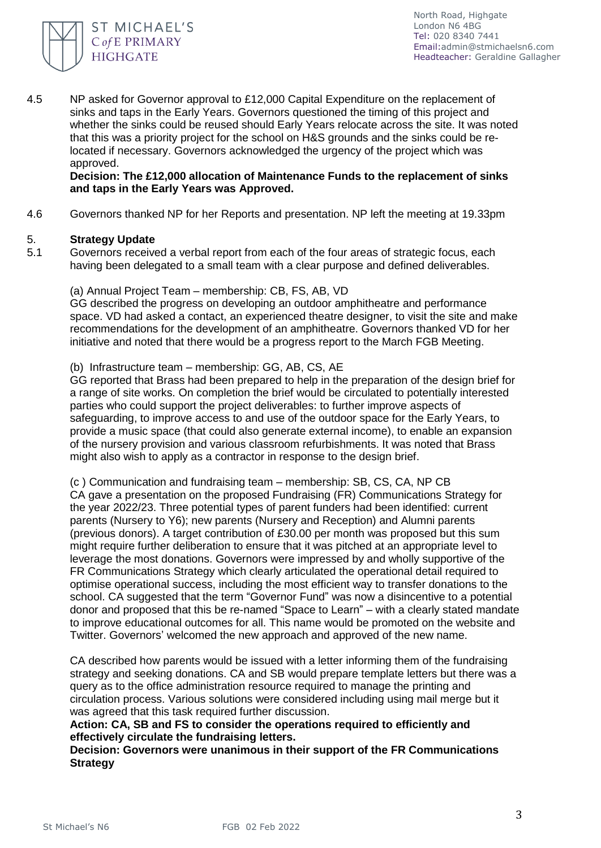

4.5 NP asked for Governor approval to £12,000 Capital Expenditure on the replacement of sinks and taps in the Early Years. Governors questioned the timing of this project and whether the sinks could be reused should Early Years relocate across the site. It was noted that this was a priority project for the school on H&S grounds and the sinks could be relocated if necessary. Governors acknowledged the urgency of the project which was approved.

## **Decision: The £12,000 allocation of Maintenance Funds to the replacement of sinks and taps in the Early Years was Approved.**

4.6 Governors thanked NP for her Reports and presentation. NP left the meeting at 19.33pm

#### 5. **Strategy Update**

5.1 Governors received a verbal report from each of the four areas of strategic focus, each having been delegated to a small team with a clear purpose and defined deliverables.

(a) Annual Project Team – membership: CB, FS, AB, VD GG described the progress on developing an outdoor amphitheatre and performance space. VD had asked a contact, an experienced theatre designer, to visit the site and make recommendations for the development of an amphitheatre. Governors thanked VD for her initiative and noted that there would be a progress report to the March FGB Meeting.

## (b) Infrastructure team – membership: GG, AB, CS, AE

GG reported that Brass had been prepared to help in the preparation of the design brief for a range of site works. On completion the brief would be circulated to potentially interested parties who could support the project deliverables: to further improve aspects of safeguarding, to improve access to and use of the outdoor space for the Early Years, to provide a music space (that could also generate external income), to enable an expansion of the nursery provision and various classroom refurbishments. It was noted that Brass might also wish to apply as a contractor in response to the design brief.

(c ) Communication and fundraising team – membership: SB, CS, CA, NP CB CA gave a presentation on the proposed Fundraising (FR) Communications Strategy for the year 2022/23. Three potential types of parent funders had been identified: current parents (Nursery to Y6); new parents (Nursery and Reception) and Alumni parents (previous donors). A target contribution of £30.00 per month was proposed but this sum might require further deliberation to ensure that it was pitched at an appropriate level to leverage the most donations. Governors were impressed by and wholly supportive of the FR Communications Strategy which clearly articulated the operational detail required to optimise operational success, including the most efficient way to transfer donations to the school. CA suggested that the term "Governor Fund" was now a disincentive to a potential donor and proposed that this be re-named "Space to Learn" – with a clearly stated mandate to improve educational outcomes for all. This name would be promoted on the website and Twitter. Governors' welcomed the new approach and approved of the new name.

CA described how parents would be issued with a letter informing them of the fundraising strategy and seeking donations. CA and SB would prepare template letters but there was a query as to the office administration resource required to manage the printing and circulation process. Various solutions were considered including using mail merge but it was agreed that this task required further discussion.

**Action: CA, SB and FS to consider the operations required to efficiently and effectively circulate the fundraising letters.** 

**Decision: Governors were unanimous in their support of the FR Communications Strategy**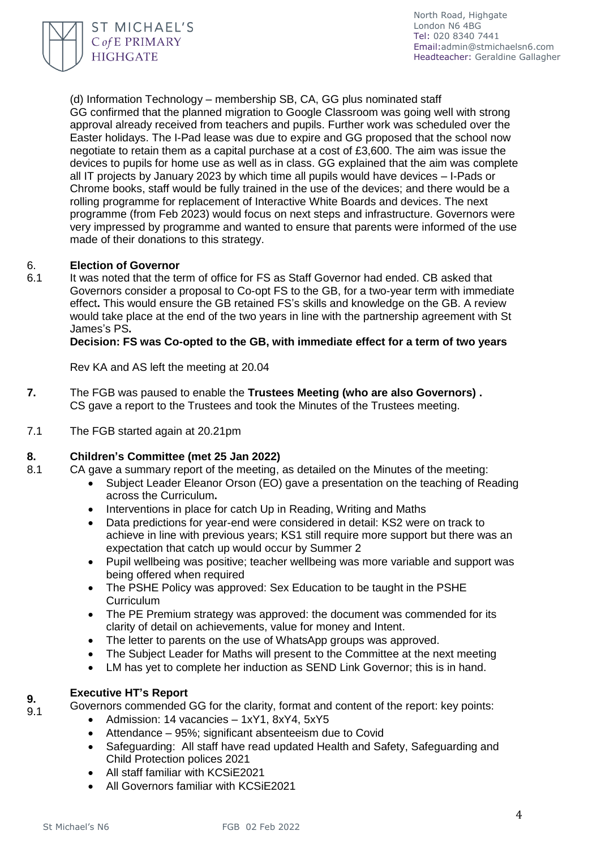

(d) Information Technology – membership SB, CA, GG plus nominated staff GG confirmed that the planned migration to Google Classroom was going well with strong approval already received from teachers and pupils. Further work was scheduled over the Easter holidays. The I-Pad lease was due to expire and GG proposed that the school now negotiate to retain them as a capital purchase at a cost of £3,600. The aim was issue the devices to pupils for home use as well as in class. GG explained that the aim was complete all IT projects by January 2023 by which time all pupils would have devices – I-Pads or Chrome books, staff would be fully trained in the use of the devices; and there would be a rolling programme for replacement of Interactive White Boards and devices. The next programme (from Feb 2023) would focus on next steps and infrastructure. Governors were very impressed by programme and wanted to ensure that parents were informed of the use made of their donations to this strategy.

### 6. **Election of Governor**

6.1 It was noted that the term of office for FS as Staff Governor had ended. CB asked that Governors consider a proposal to Co-opt FS to the GB, for a two-year term with immediate effect**.** This would ensure the GB retained FS's skills and knowledge on the GB. A review would take place at the end of the two years in line with the partnership agreement with St James's PS**.** 

**Decision: FS was Co-opted to the GB, with immediate effect for a term of two years** 

Rev KA and AS left the meeting at 20.04

- **7.** The FGB was paused to enable the **Trustees Meeting (who are also Governors) .**  CS gave a report to the Trustees and took the Minutes of the Trustees meeting.
- 7.1 The FGB started again at 20.21pm

### **8. Children's Committee (met 25 Jan 2022)**

- 8.1 CA gave a summary report of the meeting, as detailed on the Minutes of the meeting:
	- Subject Leader Eleanor Orson (EO) gave a presentation on the teaching of Reading across the Curriculum**.**
	- Interventions in place for catch Up in Reading, Writing and Maths
	- Data predictions for year-end were considered in detail: KS2 were on track to achieve in line with previous years; KS1 still require more support but there was an expectation that catch up would occur by Summer 2
	- Pupil wellbeing was positive; teacher wellbeing was more variable and support was being offered when required
	- The PSHE Policy was approved: Sex Education to be taught in the PSHE **Curriculum**
	- The PE Premium strategy was approved: the document was commended for its clarity of detail on achievements, value for money and Intent.
	- The letter to parents on the use of WhatsApp groups was approved.
	- The Subject Leader for Maths will present to the Committee at the next meeting
	- LM has yet to complete her induction as SEND Link Governor; this is in hand.

### **9. Executive HT's Report**

Governors commended GG for the clarity, format and content of the report: key points:

- Admission: 14 vacancies 1xY1, 8xY4, 5xY5
- Attendance 95%; significant absenteeism due to Covid
- Safeguarding: All staff have read updated Health and Safety, Safeguarding and Child Protection polices 2021
- All staff familiar with KCSiF2021
- All Governors familiar with KCSiE2021

9.1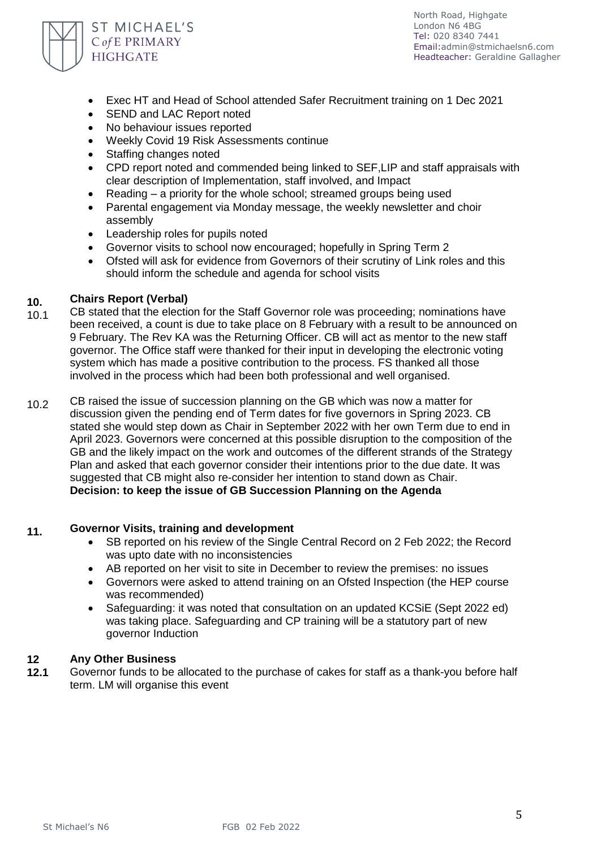

- Exec HT and Head of School attended Safer Recruitment training on 1 Dec 2021
- SEND and LAC Report noted
- No behaviour issues reported
- Weekly Covid 19 Risk Assessments continue
- Staffing changes noted
- CPD report noted and commended being linked to SEF,LIP and staff appraisals with clear description of Implementation, staff involved, and Impact
- Reading a priority for the whole school; streamed groups being used
- Parental engagement via Monday message, the weekly newsletter and choir assembly
- Leadership roles for pupils noted
- Governor visits to school now encouraged: hopefully in Spring Term 2
- Ofsted will ask for evidence from Governors of their scrutiny of Link roles and this should inform the schedule and agenda for school visits

### **10. Chairs Report (Verbal)**

- 10.1 CB stated that the election for the Staff Governor role was proceeding; nominations have been received, a count is due to take place on 8 February with a result to be announced on 9 February. The Rev KA was the Returning Officer. CB will act as mentor to the new staff governor. The Office staff were thanked for their input in developing the electronic voting system which has made a positive contribution to the process. FS thanked all those involved in the process which had been both professional and well organised.
- 10.2 CB raised the issue of succession planning on the GB which was now a matter for discussion given the pending end of Term dates for five governors in Spring 2023. CB stated she would step down as Chair in September 2022 with her own Term due to end in April 2023. Governors were concerned at this possible disruption to the composition of the GB and the likely impact on the work and outcomes of the different strands of the Strategy Plan and asked that each governor consider their intentions prior to the due date. It was suggested that CB might also re-consider her intention to stand down as Chair. **Decision: to keep the issue of GB Succession Planning on the Agenda**

### **11. Governor Visits, training and development**

- SB reported on his review of the Single Central Record on 2 Feb 2022; the Record was upto date with no inconsistencies
- AB reported on her visit to site in December to review the premises: no issues
- Governors were asked to attend training on an Ofsted Inspection (the HEP course was recommended)
- Safeguarding: it was noted that consultation on an updated KCSiE (Sept 2022 ed) was taking place. Safeguarding and CP training will be a statutory part of new governor Induction

### **12 Any Other Business**

**12.1** Governor funds to be allocated to the purchase of cakes for staff as a thank-you before half term. LM will organise this event